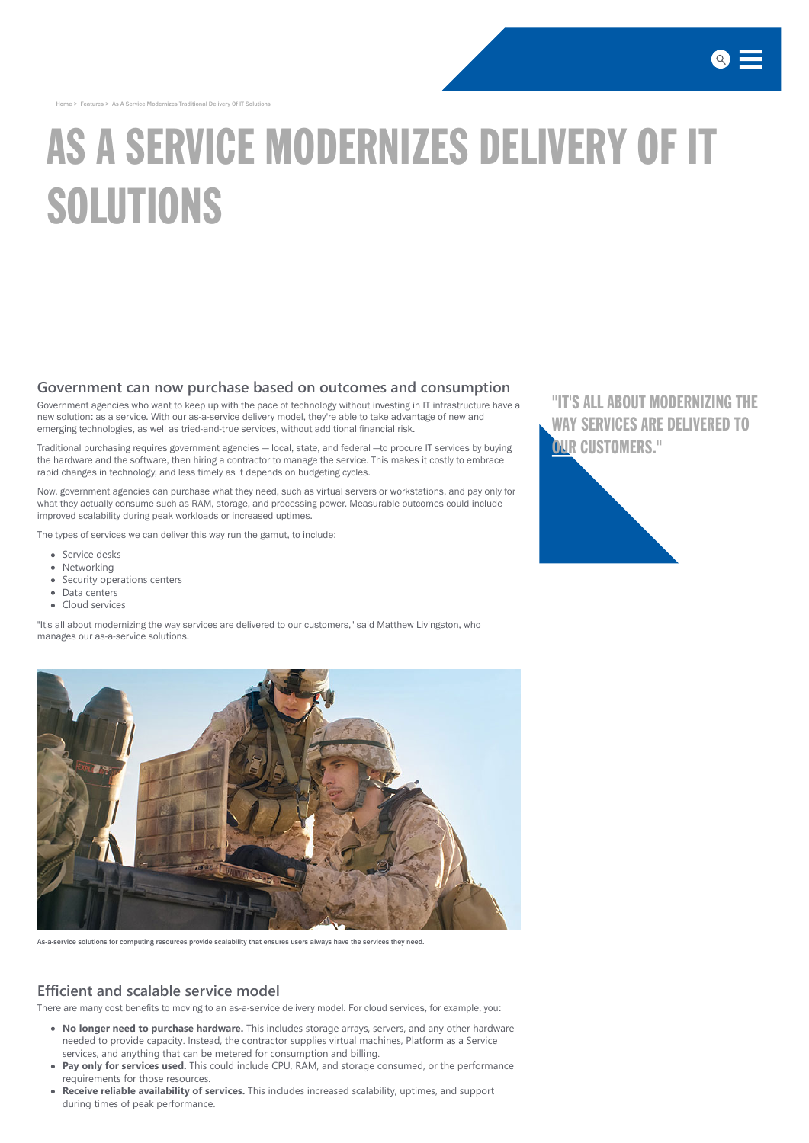[Home](http://www.saic.com/) > Features > As A Service Modernizes Traditional Delivery Of IT Solutions

# AS A SERVICE MODERNIZES DELIVERY OF IT SOLUTIONS

#### **Government can now purchase based on outcomes and consumption**

Government agencies who want to keep up with the pace of technology without investing in IT infrastructure have a new solution: as a service. With our as-a-service delivery model, they're able to take advantage of new and emerging technologies, as well as tried-and-true services, without additional financial risk.

Traditional purchasing requires government agencies — local, state, and federal —to procure IT services by buying the hardware and the software, then hiring a contractor to manage the service. This makes it costly to embrace rapid changes in technology, and less timely as it depends on budgeting cycles.

Now, government agencies can purchase what they need, such as virtual servers or workstations, and pay only for what they actually consume such as RAM, storage, and processing power. Measurable outcomes could include improved scalability during peak workloads or increased uptimes.

["IT'S ALL ABOUT MODERNIZING THE](http://www.saic.com/features/As-a-Service-Modernizes-Traditional-Delivery-of-IT-Solutions) WAY SERVICES ARE DELIVERED TO OUR CUSTOMERS."



The types of services we can deliver this way run the gamut, to include:

- Service desks
- Networking
- Security operations centers
- Data centers
- Cloud services

"It's all about modernizing the way services are delivered to our customers, " said Matthew Livingston, who manages our as-a-service solutions.





As-a-service solutions for computing resources provide scalability that ensures users always have the services they need.

### **Efficient and scalable service model**

There are many cost benefits to moving to an as-a-service delivery model. For cloud services, for example, you:

- **No longer need to purchase hardware.** This includes storage arrays, servers, and any other hardware needed to provide capacity. Instead, the contractor supplies virtual machines, Platform as a Service services, and anything that can be metered for consumption and billing.
- **Pay only for services used.** This could include CPU, RAM, and storage consumed, or the performance requirements for those resources.
- **Receive reliable availability of services.** This includes increased scalability, uptimes, and support during times of peak performance.